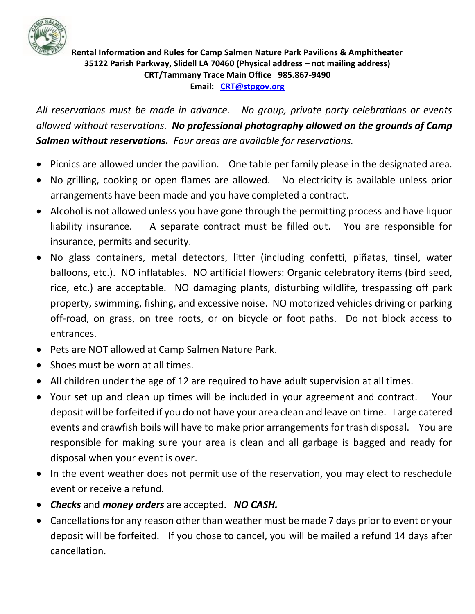

**Rental Information and Rules for Camp Salmen Nature Park Pavilions & Amphitheater 35122 Parish Parkway, Slidell LA 70460 (Physical address – not mailing address) CRT/Tammany Trace Main Office 985.867-9490 Email: [CRT@stpgov.org](mailto:CRT@stpgov.org)**

*All reservations must be made in advance. No group, private party celebrations or events allowed without reservations. No professional photography allowed on the grounds of Camp Salmen without reservations. Four areas are available for reservations.* 

- Picnics are allowed under the pavilion. One table per family please in the designated area.
- No grilling, cooking or open flames are allowed. No electricity is available unless prior arrangements have been made and you have completed a contract.
- Alcohol is not allowed unless you have gone through the permitting process and have liquor liability insurance. A separate contract must be filled out. You are responsible for insurance, permits and security.
- No glass containers, metal detectors, litter (including confetti, piñatas, tinsel, water balloons, etc.). NO inflatables. NO artificial flowers: Organic celebratory items (bird seed, rice, etc.) are acceptable. NO damaging plants, disturbing wildlife, trespassing off park property, swimming, fishing, and excessive noise. NO motorized vehicles driving or parking off-road, on grass, on tree roots, or on bicycle or foot paths. Do not block access to entrances.
- Pets are NOT allowed at Camp Salmen Nature Park.
- Shoes must be worn at all times.
- All children under the age of 12 are required to have adult supervision at all times.
- Your set up and clean up times will be included in your agreement and contract. Your deposit will be forfeited if you do not have your area clean and leave on time. Large catered events and crawfish boils will have to make prior arrangements for trash disposal. You are responsible for making sure your area is clean and all garbage is bagged and ready for disposal when your event is over.
- In the event weather does not permit use of the reservation, you may elect to reschedule event or receive a refund.
- *Checks* and *money orders* are accepted. *NO CASH.*
- Cancellations for any reason other than weather must be made 7 days prior to event or your deposit will be forfeited. If you chose to cancel, you will be mailed a refund 14 days after cancellation.